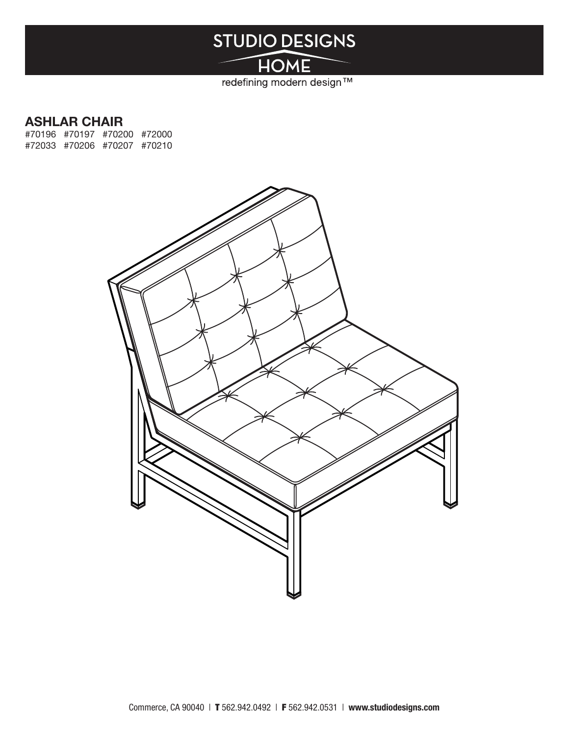# **STUDIO DESIGNS**

HOME redefining modern design™

### ASHLAR CHAIR

#70196 #70197 #70200 #72000 #72033 #70206 #70207 #70210

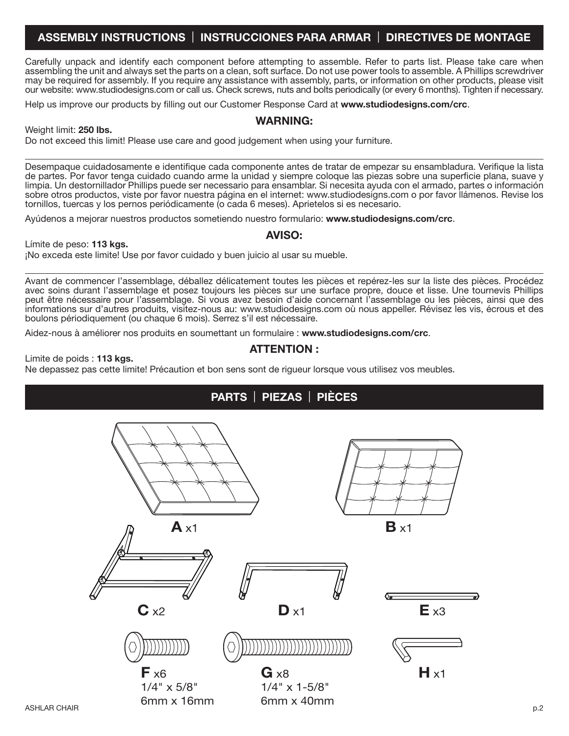### ASSEMBLY INSTRUCTIONS | INSTRUCCIONES PARA ARMAR | DIRECTIVES DE MONTAGE

Carefully unpack and identify each component before attempting to assemble. Refer to parts list. Please take care when assembling the unit and always set the parts on a clean, soft surface. Do not use power tools to assemble. A Phillips screwdriver may be required for assembly. If you require any assistance with assembly, parts, or information on other products, please visit our website: www.studiodesigns.com or call us. Check screws, nuts and bolts periodically (or every 6 months). Tighten if necessary.

WARNING:

Help us improve our products by filling out our Customer Response Card at www.studiodesigns.com/crc.

#### Weight limit: 250 lbs.

Do not exceed this limit! Please use care and good judgement when using your furniture.

Desempaque cuidadosamente e identifique cada componente antes de tratar de empezar su ensambladura. Verifique la lista de partes. Por favor tenga cuidado cuando arme la unidad y siempre coloque las piezas sobre una superficie plana, suave y limpia. Un destornillador Phillips puede ser necessario para ensamblar. Si necesita ayuda con el armado, partes o información sobre otros productos, viste por favor nuestra página en el internet: www.studiodesigns.com o por favor llámenos. Revise los tornillos, tuercas y los pernos periódicamente (o cada 6 meses). Aprietelos si es necesario.

Ayúdenos a mejorar nuestros productos sometiendo nuestro formulario: www.studiodesigns.com/crc.

Límite de peso: 113 kgs.

#### ¡No exceda este limite! Use por favor cuidado y buen juicio al usar su mueble.

Avant de commencer l'assemblage, déballez délicatement toutes les pièces et repérez-les sur la liste des pièces. Procédez avec soins durant l'assemblage et posez toujours les pièces sur une surface propre, douce et lisse. Une tournevis Phillips peut être nécessaire pour l'assemblage. Si vous avez besoin d'aide concernant l'assemblage ou les pièces, ainsi que des informations sur d'autres produits, visitez-nous au: www.studiodesigns.com où nous appeller. Révisez les vis, écrous et des boulons périodiquement (ou chaque 6 mois). Serrez s'il est nécessaire.

Aidez-nous à améliorer nos produits en soumettant un formulaire : www.studiodesigns.com/crc.

#### ATTENTION :

Limite de poids : 113 kgs.

Ne depassez pas cette limite! Précaution et bon sens sont de rigueur lorsque vous utilisez vos meubles.



#### AVISO: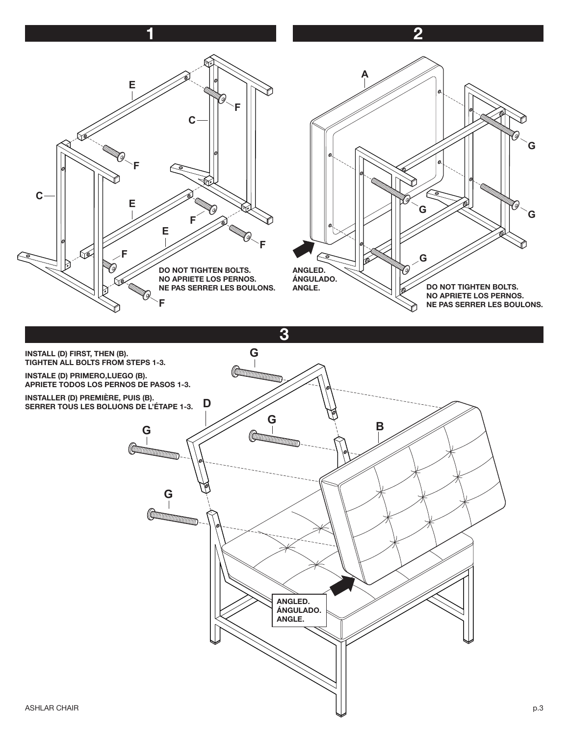